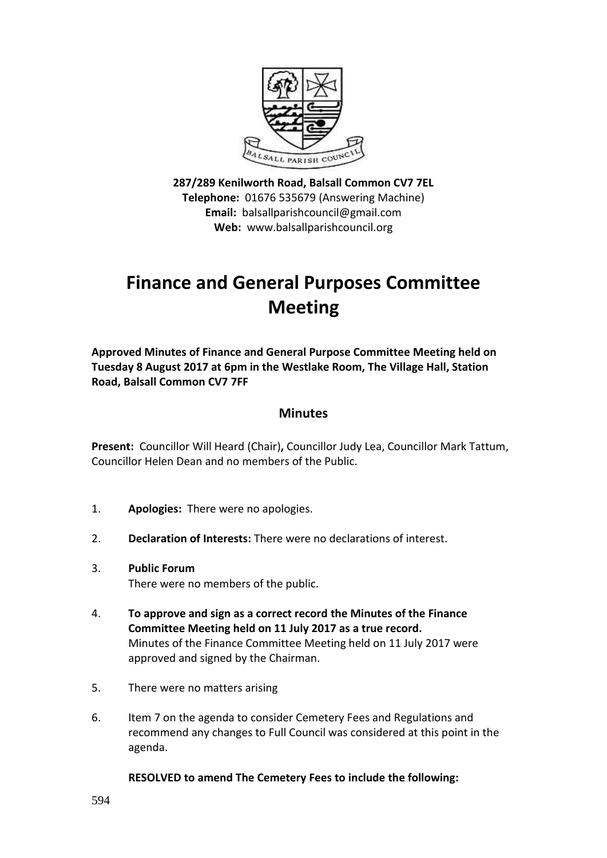

**287/289 Kenilworth Road, Balsall Common CV7 7EL Telephone:** 01676 535679 (Answering Machine) **Email:** balsallparishcouncil@gmail.com **Web:** www.balsallparishcouncil.org

# **Finance and General Purposes Committee Meeting**

**Approved Minutes of Finance and General Purpose Committee Meeting held on Tuesday 8 August 2017 at 6pm in the Westlake Room, The Village Hall, Station Road, Balsall Common CV7 7FF**

# **Minutes**

**Present:** Councillor Will Heard (Chair)**,** Councillor Judy Lea, Councillor Mark Tattum, Councillor Helen Dean and no members of the Public.

- 1. **Apologies:** There were no apologies.
- 2. **Declaration of Interests:** There were no declarations of interest.
- 3. **Public Forum** There were no members of the public.
- 4. **To approve and sign as a correct record the Minutes of the Finance Committee Meeting held on 11 July 2017 as a true record.** Minutes of the Finance Committee Meeting held on 11 July 2017 were approved and signed by the Chairman.
- 5. There were no matters arising
- 6. Item 7 on the agenda to consider Cemetery Fees and Regulations and recommend any changes to Full Council was considered at this point in the agenda.

## **RESOLVED to amend The Cemetery Fees to include the following:**

594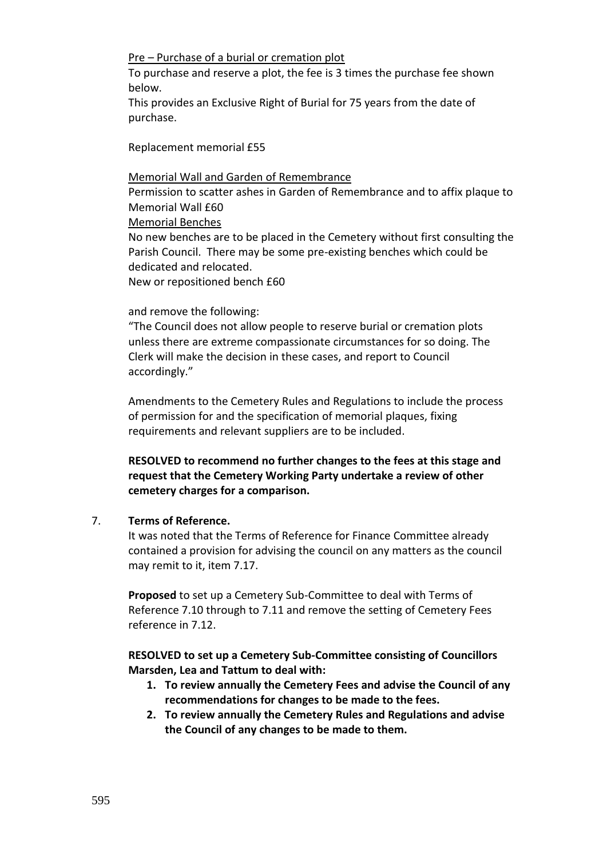#### Pre – Purchase of a burial or cremation plot

To purchase and reserve a plot, the fee is 3 times the purchase fee shown below.

This provides an Exclusive Right of Burial for 75 years from the date of purchase.

Replacement memorial £55

#### Memorial Wall and Garden of Remembrance

Permission to scatter ashes in Garden of Remembrance and to affix plaque to Memorial Wall  $f60$ 

Memorial Benches

No new benches are to be placed in the Cemetery without first consulting the Parish Council. There may be some pre-existing benches which could be dedicated and relocated.

New or repositioned bench £60

## and remove the following:

"The Council does not allow people to reserve burial or cremation plots unless there are extreme compassionate circumstances for so doing. The Clerk will make the decision in these cases, and report to Council accordingly."

Amendments to the Cemetery Rules and Regulations to include the process of permission for and the specification of memorial plaques, fixing requirements and relevant suppliers are to be included.

**RESOLVED to recommend no further changes to the fees at this stage and request that the Cemetery Working Party undertake a review of other cemetery charges for a comparison.**

# 7. **Terms of Reference.**

It was noted that the Terms of Reference for Finance Committee already contained a provision for advising the council on any matters as the council may remit to it, item 7.17.

**Proposed** to set up a Cemetery Sub-Committee to deal with Terms of Reference 7.10 through to 7.11 and remove the setting of Cemetery Fees reference in 7.12.

**RESOLVED to set up a Cemetery Sub-Committee consisting of Councillors Marsden, Lea and Tattum to deal with:**

- **1. To review annually the Cemetery Fees and advise the Council of any recommendations for changes to be made to the fees.**
- **2. To review annually the Cemetery Rules and Regulations and advise the Council of any changes to be made to them.**